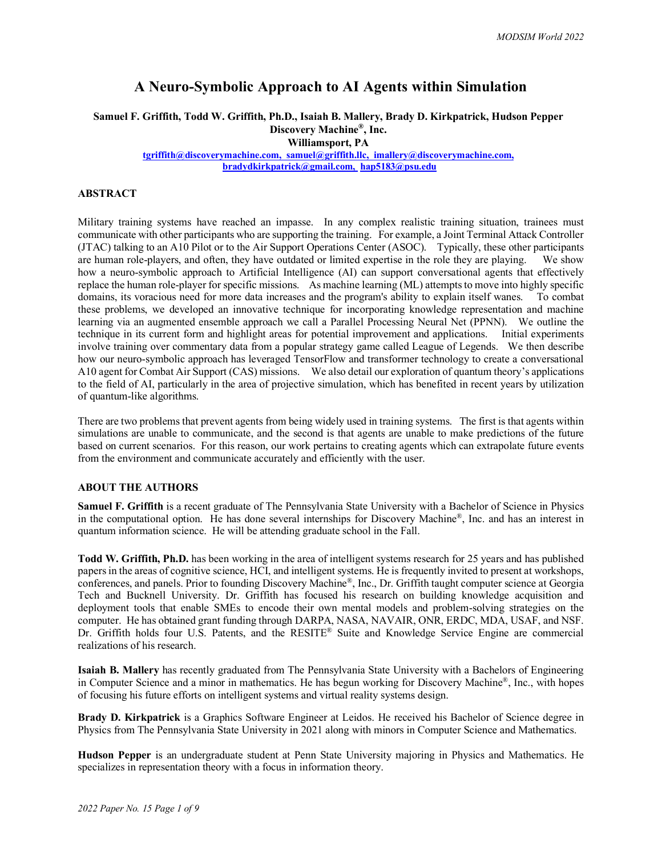# **A Neuro-Symbolic Approach to AI Agents within Simulation**

**Samuel F. Griffith, Todd W. Griffith, Ph.D., Isaiah B. Mallery, Brady D. Kirkpatrick, Hudson Pepper Discovery Machine®, Inc.**

**Williamsport, PA**

**[tgriffith@discoverymachine.com,](mailto:tgriffith@discoverymachine.com) [samuel@griffith.llc,](mailto:samuel@griffith.llc) [imallery@discoverymachine.com,](mailto:cpuskaritz@discoverymachine.com) [bradydkirkpatrick@gmail.com,](mailto:bradydkirkpatrick@gmail.com) [hap5183@psu.edu](mailto:hap5183@psu.edu)** 

### **ABSTRACT**

Military training systems have reached an impasse. In any complex realistic training situation, trainees must communicate with other participants who are supporting the training. For example, a Joint Terminal Attack Controller (JTAC) talking to an A10 Pilot or to the Air Support Operations Center (ASOC). Typically, these other participants are human role-players, and often, they have outdated or limited expertise in the role they are playing. We show how a neuro-symbolic approach to Artificial Intelligence (AI) can support conversational agents that effectively replace the human role-player for specific missions. As machine learning (ML) attempts to move into highly specific domains, its voracious need for more data increases and the program's ability to explain itself wanes. To combat these problems, we developed an innovative technique for incorporating knowledge representation and machine learning via an augmented ensemble approach we call a Parallel Processing Neural Net (PPNN). We outline the technique in its current form and highlight areas for potential improvement and applications. Initial experiments involve training over commentary data from a popular strategy game called League of Legends. We then describe how our neuro-symbolic approach has leveraged TensorFlow and transformer technology to create a conversational A10 agent for Combat Air Support (CAS) missions. We also detail our exploration of quantum theory's applications to the field of AI, particularly in the area of projective simulation, which has benefited in recent years by utilization of quantum-like algorithms.

There are two problems that prevent agents from being widely used in training systems. The first is that agents within simulations are unable to communicate, and the second is that agents are unable to make predictions of the future based on current scenarios. For this reason, our work pertains to creating agents which can extrapolate future events from the environment and communicate accurately and efficiently with the user.

# **ABOUT THE AUTHORS**

**Samuel F. Griffith** is a recent graduate of The Pennsylvania State University with a Bachelor of Science in Physics in the computational option. He has done several internships for Discovery Machine®, Inc. and has an interest in quantum information science. He will be attending graduate school in the Fall.

**Todd W. Griffith, Ph.D.** has been working in the area of intelligent systems research for 25 years and has published papers in the areas of cognitive science, HCI, and intelligent systems. He is frequently invited to present at workshops, conferences, and panels. Prior to founding Discovery Machine®, Inc., Dr. Griffith taught computer science at Georgia Tech and Bucknell University. Dr. Griffith has focused his research on building knowledge acquisition and deployment tools that enable SMEs to encode their own mental models and problem-solving strategies on the computer. He has obtained grant funding through DARPA, NASA, NAVAIR, ONR, ERDC, MDA, USAF, and NSF. Dr. Griffith holds four U.S. Patents, and the RESITE® Suite and Knowledge Service Engine are commercial realizations of his research.

**Isaiah B. Mallery** has recently graduated from The Pennsylvania State University with a Bachelors of Engineering in Computer Science and a minor in mathematics. He has begun working for Discovery Machine®, Inc., with hopes of focusing his future efforts on intelligent systems and virtual reality systems design.

**Brady D. Kirkpatrick** is a Graphics Software Engineer at Leidos. He received his Bachelor of Science degree in Physics from The Pennsylvania State University in 2021 along with minors in Computer Science and Mathematics.

**Hudson Pepper** is an undergraduate student at Penn State University majoring in Physics and Mathematics. He specializes in representation theory with a focus in information theory.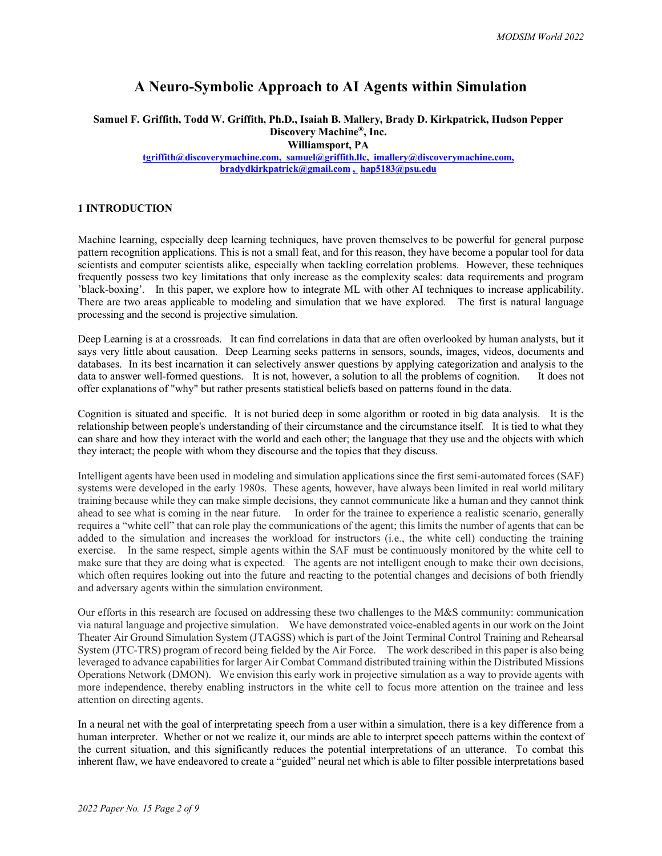# **A Neuro-Symbolic Approach to AI Agents within Simulation**

**Samuel F. Griffith, Todd W. Griffith, Ph.D., Isaiah B. Mallery, Brady D. Kirkpatrick, Hudson Pepper Discovery Machine®, Inc.**

**Williamsport, PA**

**[tgriffith@discoverymachine.com,](mailto:tgriffith@discoverymachine.com) [samuel@griffith.llc,](mailto:samuel@griffith.llc) [imallery@discoverymachine.com,](mailto:cpuskaritz@discoverymachine.com) bradydkirkpatrick@gmail.com , [hap5183@psu.edu](mailto:hap5183@psu.edu)**

#### **1 INTRODUCTION**

Machine learning, especially deep learning techniques, have proven themselves to be powerful for general purpose pattern recognition applications. This is not a small feat, and for this reason, they have become a popular tool for data scientists and computer scientists alike, especially when tackling correlation problems. However, these techniques frequently possess two key limitations that only increase as the complexity scales: data requirements and program 'black-boxing'. In this paper, we explore how to integrate ML with other AI techniques to increase applicability. There are two areas applicable to modeling and simulation that we have explored. The first is natural language processing and the second is projective simulation.

Deep Learning is at a crossroads. It can find correlations in data that are often overlooked by human analysts, but it says very little about causation. Deep Learning seeks patterns in sensors, sounds, images, videos, documents and databases. In its best incarnation it can selectively answer questions by applying categorization and analysis to the data to answer well-formed questions. It is not, however, a solution to all the problems of cognition. It does not offer explanations of "why" but rather presents statistical beliefs based on patterns found in the data.

Cognition is situated and specific. It is not buried deep in some algorithm or rooted in big data analysis. It is the relationship between people's understanding of their circumstance and the circumstance itself. It is tied to what they can share and how they interact with the world and each other; the language that they use and the objects with which they interact; the people with whom they discourse and the topics that they discuss.

Intelligent agents have been used in modeling and simulation applications since the first semi-automated forces (SAF) systems were developed in the early 1980s. These agents, however, have always been limited in real world military training because while they can make simple decisions, they cannot communicate like a human and they cannot think ahead to see what is coming in the near future. In order for the trainee to experience a realistic scenario, generally requires a "white cell" that can role play the communications of the agent; this limits the number of agents that can be added to the simulation and increases the workload for instructors (i.e., the white cell) conducting the training exercise. In the same respect, simple agents within the SAF must be continuously monitored by the white cell to make sure that they are doing what is expected. The agents are not intelligent enough to make their own decisions, which often requires looking out into the future and reacting to the potential changes and decisions of both friendly and adversary agents within the simulation environment.

Our efforts in this research are focused on addressing these two challenges to the M&S community: communication via natural language and projective simulation. We have demonstrated voice-enabled agents in our work on the Joint Theater Air Ground Simulation System (JTAGSS) which is part of the Joint Terminal Control Training and Rehearsal System (JTC-TRS) program of record being fielded by the Air Force. The work described in this paper is also being leveraged to advance capabilities for larger Air Combat Command distributed training within the Distributed Missions Operations Network (DMON). We envision this early work in projective simulation as a way to provide agents with more independence, thereby enabling instructors in the white cell to focus more attention on the trainee and less attention on directing agents.

In a neural net with the goal of interpretating speech from a user within a simulation, there is a key difference from a human interpreter. Whether or not we realize it, our minds are able to interpret speech patterns within the context of the current situation, and this significantly reduces the potential interpretations of an utterance. To combat this inherent flaw, we have endeavored to create a "guided" neural net which is able to filter possible interpretations based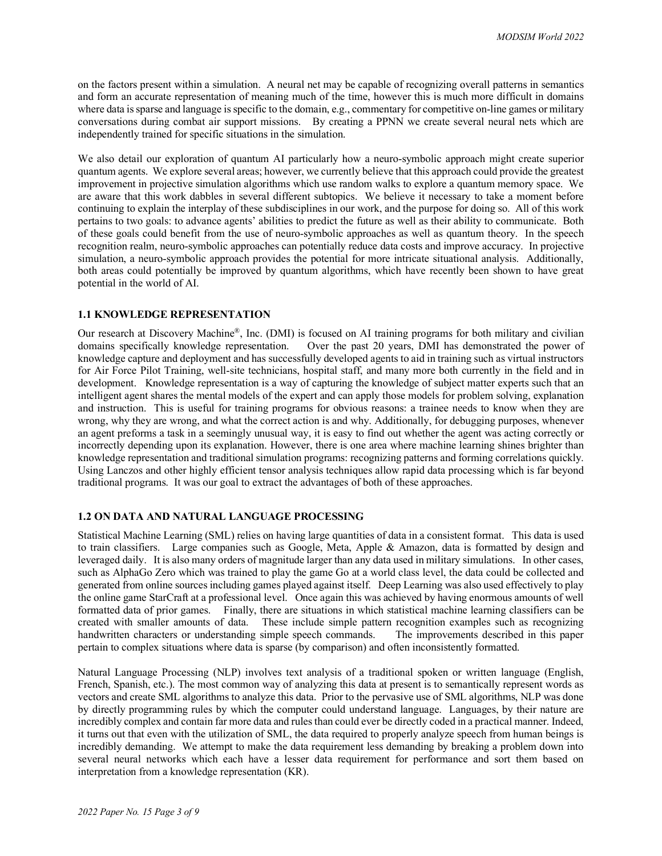on the factors present within a simulation. A neural net may be capable of recognizing overall patterns in semantics and form an accurate representation of meaning much of the time, however this is much more difficult in domains where data is sparse and language is specific to the domain, e.g., commentary for competitive on-line games or military conversations during combat air support missions. By creating a PPNN we create several neural nets which are independently trained for specific situations in the simulation.

We also detail our exploration of quantum AI particularly how a neuro-symbolic approach might create superior quantum agents. We explore several areas; however, we currently believe that this approach could provide the greatest improvement in projective simulation algorithms which use random walks to explore a quantum memory space. We are aware that this work dabbles in several different subtopics. We believe it necessary to take a moment before continuing to explain the interplay of these subdisciplines in our work, and the purpose for doing so. All of this work pertains to two goals: to advance agents' abilities to predict the future as well as their ability to communicate. Both of these goals could benefit from the use of neuro-symbolic approaches as well as quantum theory. In the speech recognition realm, neuro-symbolic approaches can potentially reduce data costs and improve accuracy. In projective simulation, a neuro-symbolic approach provides the potential for more intricate situational analysis. Additionally, both areas could potentially be improved by quantum algorithms, which have recently been shown to have great potential in the world of AI.

### **1.1 KNOWLEDGE REPRESENTATION**

Our research at Discovery Machine®, Inc. (DMI) is focused on AI training programs for both military and civilian domains specifically knowledge representation. Over the past 20 years, DMI has demonstrated the power of knowledge capture and deployment and has successfully developed agents to aid in training such as virtual instructors for Air Force Pilot Training, well-site technicians, hospital staff, and many more both currently in the field and in development. Knowledge representation is a way of capturing the knowledge of subject matter experts such that an intelligent agent shares the mental models of the expert and can apply those models for problem solving, explanation and instruction. This is useful for training programs for obvious reasons: a trainee needs to know when they are wrong, why they are wrong, and what the correct action is and why. Additionally, for debugging purposes, whenever an agent preforms a task in a seemingly unusual way, it is easy to find out whether the agent was acting correctly or incorrectly depending upon its explanation. However, there is one area where machine learning shines brighter than knowledge representation and traditional simulation programs: recognizing patterns and forming correlations quickly. Using Lanczos and other highly efficient tensor analysis techniques allow rapid data processing which is far beyond traditional programs. It was our goal to extract the advantages of both of these approaches.

# **1.2 ON DATA AND NATURAL LANGUAGE PROCESSING**

Statistical Machine Learning (SML) relies on having large quantities of data in a consistent format. This data is used to train classifiers. Large companies such as Google, Meta, Apple & Amazon, data is formatted by design and leveraged daily. It is also many orders of magnitude larger than any data used in military simulations. In other cases, such as AlphaGo Zero which was trained to play the game Go at a world class level, the data could be collected and generated from online sources including games played against itself. Deep Learning was also used effectively to play the online game StarCraft at a professional level. Once again this was achieved by having enormous amounts of well formatted data of prior games. Finally, there are situations in which statistical machine learning classifiers can be created with smaller amounts of data. These include simple pattern recognition examples such as recognizing handwritten characters or understanding simple speech commands. The improvements described in this paper pertain to complex situations where data is sparse (by comparison) and often inconsistently formatted.

Natural Language Processing (NLP) involves text analysis of a traditional spoken or written language (English, French, Spanish, etc.). The most common way of analyzing this data at present is to semantically represent words as vectors and create SML algorithms to analyze this data. Prior to the pervasive use of SML algorithms, NLP was done by directly programming rules by which the computer could understand language. Languages, by their nature are incredibly complex and contain far more data and rules than could ever be directly coded in a practical manner. Indeed, it turns out that even with the utilization of SML, the data required to properly analyze speech from human beings is incredibly demanding. We attempt to make the data requirement less demanding by breaking a problem down into several neural networks which each have a lesser data requirement for performance and sort them based on interpretation from a knowledge representation (KR).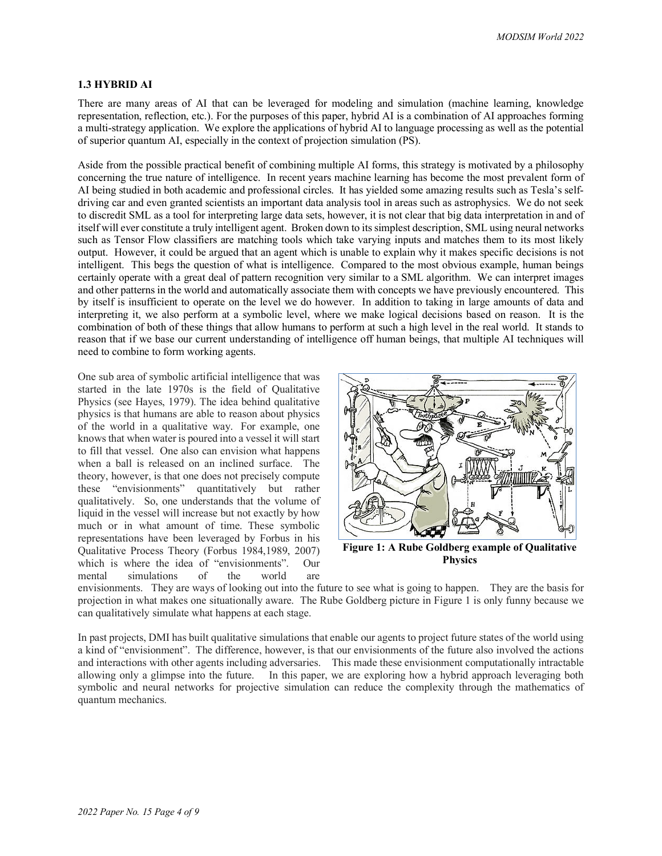#### **1.3 HYBRID AI**

There are many areas of AI that can be leveraged for modeling and simulation (machine learning, knowledge representation, reflection, etc.). For the purposes of this paper, hybrid AI is a combination of AI approaches forming a multi-strategy application. We explore the applications of hybrid AI to language processing as well as the potential of superior quantum AI, especially in the context of projection simulation (PS).

Aside from the possible practical benefit of combining multiple AI forms, this strategy is motivated by a philosophy concerning the true nature of intelligence. In recent years machine learning has become the most prevalent form of AI being studied in both academic and professional circles. It has yielded some amazing results such as Tesla's selfdriving car and even granted scientists an important data analysis tool in areas such as astrophysics. We do not seek to discredit SML as a tool for interpreting large data sets, however, it is not clear that big data interpretation in and of itself will ever constitute a truly intelligent agent. Broken down to its simplest description, SML using neural networks such as Tensor Flow classifiers are matching tools which take varying inputs and matches them to its most likely output. However, it could be argued that an agent which is unable to explain why it makes specific decisions is not intelligent. This begs the question of what is intelligence. Compared to the most obvious example, human beings certainly operate with a great deal of pattern recognition very similar to a SML algorithm. We can interpret images and other patterns in the world and automatically associate them with concepts we have previously encountered. This by itself is insufficient to operate on the level we do however. In addition to taking in large amounts of data and interpreting it, we also perform at a symbolic level, where we make logical decisions based on reason. It is the combination of both of these things that allow humans to perform at such a high level in the real world. It stands to reason that if we base our current understanding of intelligence off human beings, that multiple AI techniques will need to combine to form working agents.

One sub area of symbolic artificial intelligence that was started in the late 1970s is the field of Qualitative Physics (see Hayes, 1979). The idea behind qualitative physics is that humans are able to reason about physics of the world in a qualitative way. For example, one knows that when water is poured into a vessel it will start to fill that vessel. One also can envision what happens when a ball is released on an inclined surface. The theory, however, is that one does not precisely compute these "envisionments" quantitatively but rather qualitatively. So, one understands that the volume of liquid in the vessel will increase but not exactly by how much or in what amount of time. These symbolic representations have been leveraged by Forbus in his Qualitative Process Theory (Forbus 1984,1989, 2007) which is where the idea of "envisionments". Our mental simulations of the world are



**Figure 1: A Rube Goldberg example of Qualitative Physics**

envisionments. They are ways of looking out into the future to see what is going to happen. They are the basis for projection in what makes one situationally aware. The Rube Goldberg picture in Figure 1 is only funny because we can qualitatively simulate what happens at each stage.

In past projects, DMI has built qualitative simulations that enable our agents to project future states of the world using a kind of "envisionment". The difference, however, is that our envisionments of the future also involved the actions and interactions with other agents including adversaries. This made these envisionment computationally intractable allowing only a glimpse into the future. In this paper, we are exploring how a hybrid approach leveraging both symbolic and neural networks for projective simulation can reduce the complexity through the mathematics of quantum mechanics.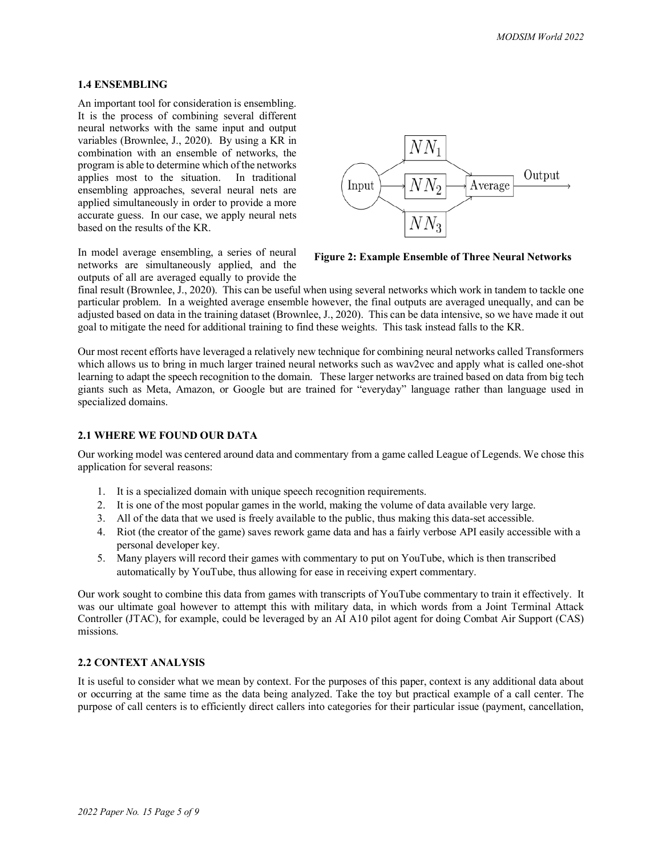# **1.4 ENSEMBLING**

An important tool for consideration is ensembling. It is the process of combining several different neural networks with the same input and output variables (Brownlee, J., 2020). By using a KR in combination with an ensemble of networks, the program is able to determine which of the networks applies most to the situation. In traditional ensembling approaches, several neural nets are applied simultaneously in order to provide a more accurate guess. In our case, we apply neural nets based on the results of the KR.



In model average ensembling, a series of neural networks are simultaneously applied, and the outputs of all are averaged equally to provide the

**Figure 2: Example Ensemble of Three Neural Networks**

final result (Brownlee, J., 2020). This can be useful when using several networks which work in tandem to tackle one particular problem. In a weighted average ensemble however, the final outputs are averaged unequally, and can be adjusted based on data in the training dataset (Brownlee, J., 2020). This can be data intensive, so we have made it out goal to mitigate the need for additional training to find these weights. This task instead falls to the KR.

Our most recent efforts have leveraged a relatively new technique for combining neural networks called Transformers which allows us to bring in much larger trained neural networks such as wav2vec and apply what is called one-shot learning to adapt the speech recognition to the domain. These larger networks are trained based on data from big tech giants such as Meta, Amazon, or Google but are trained for "everyday" language rather than language used in specialized domains.

# **2.1 WHERE WE FOUND OUR DATA**

Our working model was centered around data and commentary from a game called League of Legends. We chose this application for several reasons:

- 1. It is a specialized domain with unique speech recognition requirements.
- 2. It is one of the most popular games in the world, making the volume of data available very large.
- 3. All of the data that we used is freely available to the public, thus making this data-set accessible.
- 4. Riot (the creator of the game) saves rework game data and has a fairly verbose API easily accessible with a personal developer key.
- 5. Many players will record their games with commentary to put on YouTube, which is then transcribed automatically by YouTube, thus allowing for ease in receiving expert commentary.

Our work sought to combine this data from games with transcripts of YouTube commentary to train it effectively. It was our ultimate goal however to attempt this with military data, in which words from a Joint Terminal Attack Controller (JTAC), for example, could be leveraged by an AI A10 pilot agent for doing Combat Air Support (CAS) missions.

# **2.2 CONTEXT ANALYSIS**

It is useful to consider what we mean by context. For the purposes of this paper, context is any additional data about or occurring at the same time as the data being analyzed. Take the toy but practical example of a call center. The purpose of call centers is to efficiently direct callers into categories for their particular issue (payment, cancellation,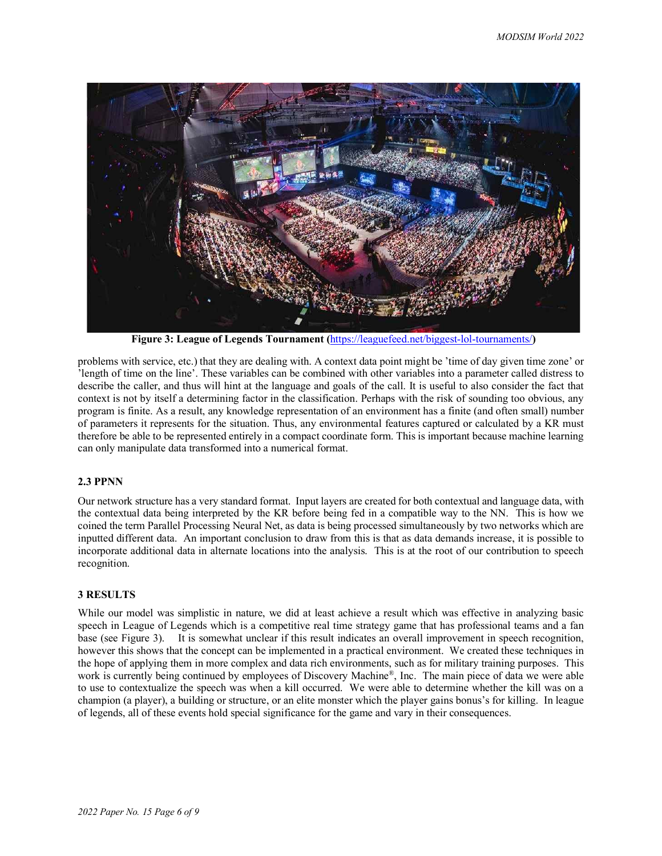

**Figure 3: League of Legends Tournament (**<https://leaguefeed.net/biggest-lol-tournaments/>**)** 

problems with service, etc.) that they are dealing with. A context data point might be 'time of day given time zone' or 'length of time on the line'. These variables can be combined with other variables into a parameter called distress to describe the caller, and thus will hint at the language and goals of the call. It is useful to also consider the fact that context is not by itself a determining factor in the classification. Perhaps with the risk of sounding too obvious, any program is finite. As a result, any knowledge representation of an environment has a finite (and often small) number of parameters it represents for the situation. Thus, any environmental features captured or calculated by a KR must therefore be able to be represented entirely in a compact coordinate form. This is important because machine learning can only manipulate data transformed into a numerical format.

# **2.3 PPNN**

Our network structure has a very standard format. Input layers are created for both contextual and language data, with the contextual data being interpreted by the KR before being fed in a compatible way to the NN. This is how we coined the term Parallel Processing Neural Net, as data is being processed simultaneously by two networks which are inputted different data. An important conclusion to draw from this is that as data demands increase, it is possible to incorporate additional data in alternate locations into the analysis. This is at the root of our contribution to speech recognition.

### **3 RESULTS**

While our model was simplistic in nature, we did at least achieve a result which was effective in analyzing basic speech in League of Legends which is a competitive real time strategy game that has professional teams and a fan base (see Figure 3). It is somewhat unclear if this result indicates an overall improvement in speech recognition, however this shows that the concept can be implemented in a practical environment. We created these techniques in the hope of applying them in more complex and data rich environments, such as for military training purposes. This work is currently being continued by employees of Discovery Machine®, Inc. The main piece of data we were able to use to contextualize the speech was when a kill occurred. We were able to determine whether the kill was on a champion (a player), a building or structure, or an elite monster which the player gains bonus's for killing. In league of legends, all of these events hold special significance for the game and vary in their consequences.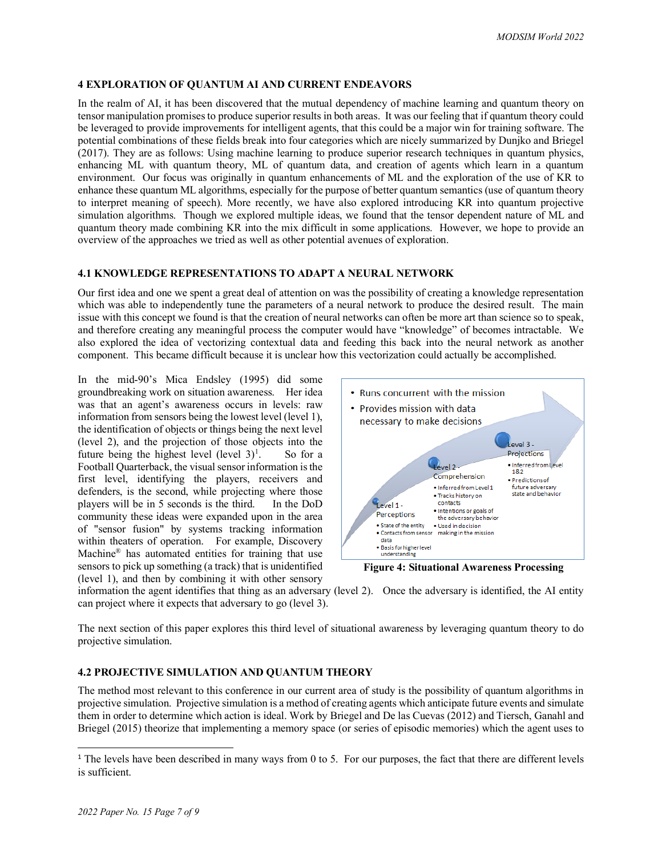### **4 EXPLORATION OF QUANTUM AI AND CURRENT ENDEAVORS**

In the realm of AI, it has been discovered that the mutual dependency of machine learning and quantum theory on tensor manipulation promises to produce superior results in both areas. It was our feeling that if quantum theory could be leveraged to provide improvements for intelligent agents, that this could be a major win for training software. The potential combinations of these fields break into four categories which are nicely summarized by Dunjko and Briegel (2017). They are as follows: Using machine learning to produce superior research techniques in quantum physics, enhancing ML with quantum theory, ML of quantum data, and creation of agents which learn in a quantum environment. Our focus was originally in quantum enhancements of ML and the exploration of the use of KR to enhance these quantum ML algorithms, especially for the purpose of better quantum semantics (use of quantum theory to interpret meaning of speech). More recently, we have also explored introducing KR into quantum projective simulation algorithms. Though we explored multiple ideas, we found that the tensor dependent nature of ML and quantum theory made combining KR into the mix difficult in some applications. However, we hope to provide an overview of the approaches we tried as well as other potential avenues of exploration.

### **4.1 KNOWLEDGE REPRESENTATIONS TO ADAPT A NEURAL NETWORK**

Our first idea and one we spent a great deal of attention on was the possibility of creating a knowledge representation which was able to independently tune the parameters of a neural network to produce the desired result. The main issue with this concept we found is that the creation of neural networks can often be more art than science so to speak, and therefore creating any meaningful process the computer would have "knowledge" of becomes intractable. We also explored the idea of vectorizing contextual data and feeding this back into the neural network as another component. This became difficult because it is unclear how this vectorization could actually be accomplished.

In the mid-90's Mica Endsley (1995) did some groundbreaking work on situation awareness. Her idea was that an agent's awareness occurs in levels: raw information from sensors being the lowest level (level 1), the identification of objects or things being the next level (level 2), and the projection of those objects into the future being the highest level (level  $3$ )<sup>[1](#page-6-0)</sup>. . So for a Football Quarterback, the visual sensor information is the first level, identifying the players, receivers and defenders, is the second, while projecting where those players will be in 5 seconds is the third. In the DoD community these ideas were expanded upon in the area of "sensor fusion" by systems tracking information within theaters of operation. For example, Discovery Machine® has automated entities for training that use sensors to pick up something (a track) that is unidentified (level 1), and then by combining it with other sensory



**Figure 4: Situational Awareness Processing**

information the agent identifies that thing as an adversary (level 2). Once the adversary is identified, the AI entity can project where it expects that adversary to go (level 3).

The next section of this paper explores this third level of situational awareness by leveraging quantum theory to do projective simulation.

# **4.2 PROJECTIVE SIMULATION AND QUANTUM THEORY**

The method most relevant to this conference in our current area of study is the possibility of quantum algorithms in projective simulation. Projective simulation is a method of creating agents which anticipate future events and simulate them in order to determine which action is ideal. Work by Briegel and De las Cuevas (2012) and Tiersch, Ganahl and Briegel (2015) theorize that implementing a memory space (or series of episodic memories) which the agent uses to

<span id="page-6-0"></span><sup>&</sup>lt;sup>1</sup> The levels have been described in many ways from 0 to 5. For our purposes, the fact that there are different levels is sufficient.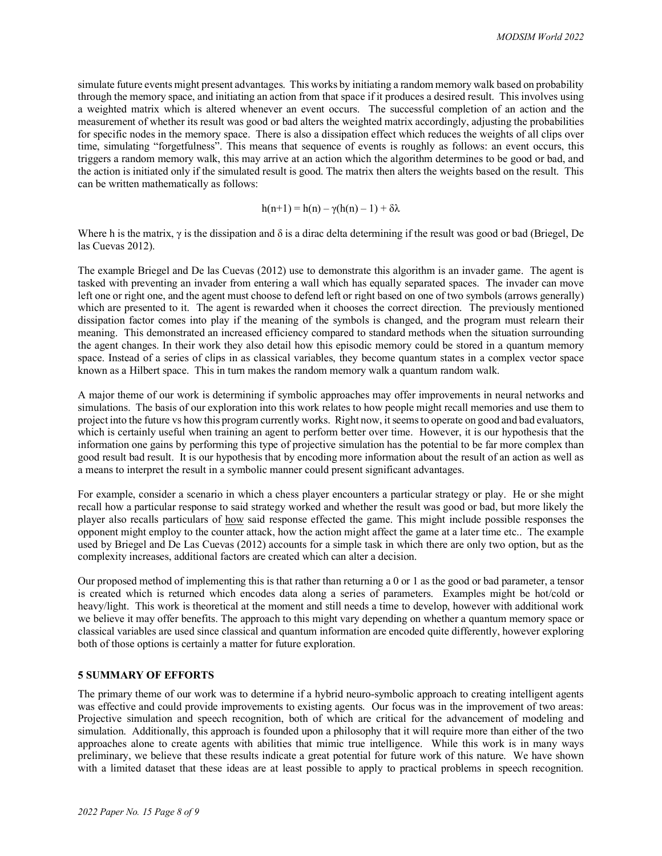simulate future events might present advantages. This works by initiating a random memory walk based on probability through the memory space, and initiating an action from that space if it produces a desired result. This involves using a weighted matrix which is altered whenever an event occurs. The successful completion of an action and the measurement of whether its result was good or bad alters the weighted matrix accordingly, adjusting the probabilities for specific nodes in the memory space. There is also a dissipation effect which reduces the weights of all clips over time, simulating "forgetfulness". This means that sequence of events is roughly as follows: an event occurs, this triggers a random memory walk, this may arrive at an action which the algorithm determines to be good or bad, and the action is initiated only if the simulated result is good. The matrix then alters the weights based on the result. This can be written mathematically as follows:

$$
h(n+1) = h(n) - \gamma(h(n) - 1) + \delta\lambda
$$

Where h is the matrix,  $\gamma$  is the dissipation and  $\delta$  is a dirac delta determining if the result was good or bad (Briegel, De las Cuevas 2012).

The example Briegel and De las Cuevas (2012) use to demonstrate this algorithm is an invader game. The agent is tasked with preventing an invader from entering a wall which has equally separated spaces. The invader can move left one or right one, and the agent must choose to defend left or right based on one of two symbols (arrows generally) which are presented to it. The agent is rewarded when it chooses the correct direction. The previously mentioned dissipation factor comes into play if the meaning of the symbols is changed, and the program must relearn their meaning. This demonstrated an increased efficiency compared to standard methods when the situation surrounding the agent changes. In their work they also detail how this episodic memory could be stored in a quantum memory space. Instead of a series of clips in as classical variables, they become quantum states in a complex vector space known as a Hilbert space. This in turn makes the random memory walk a quantum random walk.

A major theme of our work is determining if symbolic approaches may offer improvements in neural networks and simulations. The basis of our exploration into this work relates to how people might recall memories and use them to project into the future vs how this program currently works. Right now, it seems to operate on good and bad evaluators, which is certainly useful when training an agent to perform better over time. However, it is our hypothesis that the information one gains by performing this type of projective simulation has the potential to be far more complex than good result bad result. It is our hypothesis that by encoding more information about the result of an action as well as a means to interpret the result in a symbolic manner could present significant advantages.

For example, consider a scenario in which a chess player encounters a particular strategy or play. He or she might recall how a particular response to said strategy worked and whether the result was good or bad, but more likely the player also recalls particulars of how said response effected the game. This might include possible responses the opponent might employ to the counter attack, how the action might affect the game at a later time etc.. The example used by Briegel and De Las Cuevas (2012) accounts for a simple task in which there are only two option, but as the complexity increases, additional factors are created which can alter a decision.

Our proposed method of implementing this is that rather than returning a 0 or 1 as the good or bad parameter, a tensor is created which is returned which encodes data along a series of parameters. Examples might be hot/cold or heavy/light. This work is theoretical at the moment and still needs a time to develop, however with additional work we believe it may offer benefits. The approach to this might vary depending on whether a quantum memory space or classical variables are used since classical and quantum information are encoded quite differently, however exploring both of those options is certainly a matter for future exploration.

### **5 SUMMARY OF EFFORTS**

The primary theme of our work was to determine if a hybrid neuro-symbolic approach to creating intelligent agents was effective and could provide improvements to existing agents. Our focus was in the improvement of two areas: Projective simulation and speech recognition, both of which are critical for the advancement of modeling and simulation. Additionally, this approach is founded upon a philosophy that it will require more than either of the two approaches alone to create agents with abilities that mimic true intelligence. While this work is in many ways preliminary, we believe that these results indicate a great potential for future work of this nature. We have shown with a limited dataset that these ideas are at least possible to apply to practical problems in speech recognition.